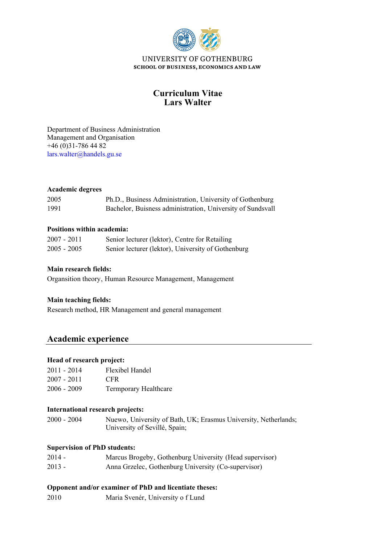

## **Lars Walter Curriculum Vitae**

Management and Organisation Department of Business Administration  $+46(0)31-7864482$ [lars.walter@handels.gu.se](mailto:lars.walter@handels.gu.se)

### **Academic degrees**

| 2005 | Ph.D., Business Administration, University of Gothenburg   |
|------|------------------------------------------------------------|
| 1991 | Bachelor, Buisness administration, University of Sundsvall |

### **Positions within academia:**

| 2007 - 2011   | Senior lecturer (lektor), Centre for Retailing     |
|---------------|----------------------------------------------------|
| $2005 - 2005$ | Senior lecturer (lektor), University of Gothenburg |

## **Main research fields:**

Organsition theory, Human Resource Management, Management

## **Main teaching fields:**

Research method, HR Management and general management

# **Academic experience**

# **Head of research project:**

| $2011 - 2014$ | Flexibel Handel       |
|---------------|-----------------------|
| $2007 - 2011$ | CFR.                  |
| $2006 - 2009$ | Termporary Healthcare |

#### **International research projects:**

2000 - 2004 Nuewo, University of Bath, UK; Erasmus University, Netherlands; University of Sevillé, Spain;

#### **Supervision of PhD students:**

| $2014 -$ | Marcus Brogeby, Gothenburg University (Head supervisor) |
|----------|---------------------------------------------------------|
| $2013 -$ | Anna Grzelec, Gothenburg University (Co-supervisor)     |

#### **Opponent and/or examiner of PhD and licentiate theses:**

2010 Maria Svenér, University o f Lund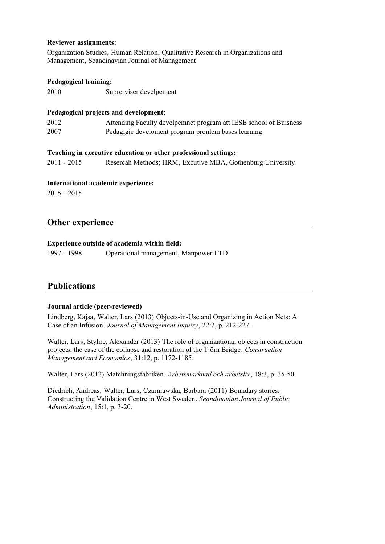#### **Reviewer assignments:**

Organization Studies, Human Relation, Qualitative Research in Organizations and Management, Scandinavian Journal of Management

### **Pedagogical training:**

2010 Suprerviser develpement

### **Pedagogical projects and development:**

| 2012 | Attending Faculty develpemnet program att IESE school of Buisness |
|------|-------------------------------------------------------------------|
| 2007 | Pedagigic develoment program pronlem bases learning               |

#### **Teaching in executive education or other professional settings:**

2011 - 2015 Resercah Methods; HRM, Excutive MBA, Gothenburg University

### **International academic experience:**

2015 - 2015

## **Other experience**

### **Experience outside of academia within field:**

1997 - 1998 Operational management, Manpower LTD

## **Publications**

## **Journal article (peer-reviewed)**

Lindberg, Kajsa, Walter, Lars (2013) Objects-in-Use and Organizing in Action Nets: A Case of an Infusion. *Journal of Management Inquiry*, 22:2, p. 212-227.

Walter, Lars, Styhre, Alexander (2013) The role of organizational objects in construction projects: the case of the collapse and restoration of the Tjörn Bridge. *Construction Management and Economics*, 31:12, p. 1172-1185.

Walter, Lars (2012) Matchningsfabriken. *Arbetsmarknad och arbetsliv*, 18:3, p. 35-50.

Diedrich, Andreas, Walter, Lars, Czarniawska, Barbara (2011) Boundary stories: Constructing the Validation Centre in West Sweden. *Scandinavian Journal of Public Administration*, 15:1, p. 3-20.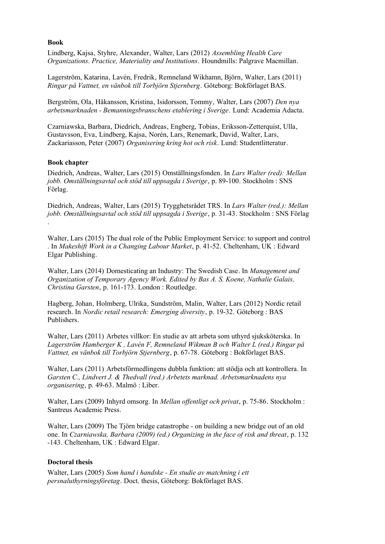#### **Book**

Lindberg, Kajsa, Styhre, Alexander, Walter, Lars (2012) *Assembling Health Care Organizations. Practice, Materiality and Institutions*. Houndmills: Palgrave Macmillan.

Lagerström, Katarina, Lavén, Fredrik, Remneland Wikhamn, Björn, Walter, Lars (2011) *Ringar på Vattnet, en vänbok till Torbjörn Stjernberg*. Göteborg: Bokförlaget BAS.

Bergström, Ola, Håkansson, Kristina, Isidorsson, Tommy, Walter, Lars (2007) *Den nya arbetsmarknaden - Bemanningsbranschens etablering i Sverige*. Lund: Academia Adacta.

Czarniawska, Barbara, Diedrich, Andreas, Engberg, Tobias, Eriksson-Zetterquist, Ulla, Gustavsson, Eva, Lindberg, Kajsa, Norén, Lars, Renemark, David, Walter, Lars, Zackariasson, Peter (2007) *Organisering kring hot och risk*. Lund: Studentlitteratur.

#### **Book chapter**

Diedrich, Andreas, Walter, Lars (2015) Omställningsfonden. In *Lars Walter (red): Mellan jobb. Omställningsavtal och stöd till uppsagda i Sverige*, p. 89-100. Stockholm : SNS Förlag.

Diedrich, Andreas, Walter, Lars (2015) Trygghetsrådet TRS. In *Lars Walter (red.): Mellan jobb. Omställningsavtal och stöd till uppsagda i Sverige*, p. 31-43. Stockholm : SNS Förlag .

Walter, Lars (2015) The dual role of the Public Employment Service: to support and control . In *Makeshift Work in a Changing Labour Market*, p. 41-52. Cheltenham, UK : Edward Elgar Publishing.

Walter, Lars (2014) Domesticating an Industry: The Swedish Case. In *Management and Organization of Temporary Agency Work. Edited by Bas A. S. Koene, Nathalie Galais, Christina Garsten*, p. 161-173. London : Routledge.

Hagberg, Johan, Holmberg, Ulrika, Sundström, Malin, Walter, Lars (2012) Nordic retail research. In *Nordic retail research: Emerging diversity*, p. 19-32. Göteborg : BAS Publishers.

Walter, Lars (2011) Arbetes villkor: En studie av att arbeta som uthyrd sjuksköterska. In *Lagerström Hamberger K , Lavén F, Remneland Wikman B och Walter L (red.) Ringar på Vattnet, en vänbok till Torbjörn Stjernberg*, p. 67-78. Göteborg : Bokförlaget BAS.

Walter, Lars (2011) Arbetsförmedlingens dubbla funktion: att stödja och att kontrollera. In *Garsten C., Lindvert J. & Thedvall (red.) Arbetets marknad. Arbetsmarknadens nya organisering*, p. 49-63. Malmö : Liber.

Walter, Lars (2009) Inhyrd omsorg. In *Mellan offentligt och privat*, p. 75-86. Stockholm : Santreus Academic Press.

Walter, Lars (2009) The Tjörn bridge catastrophe - on building a new bridge out of an old one. In *Czarniawska, Barbara (2009) (ed.) Organizing in the face of risk and threat*, p. 132 -143. Cheltenham, UK : Edward Elgar.

#### **Doctoral thesis**

Walter, Lars (2005) *Som hand i handske - En studie av matchning i ett persnaluthyrningsföretag*. Doct. thesis, Göteborg: Bokförlaget BAS.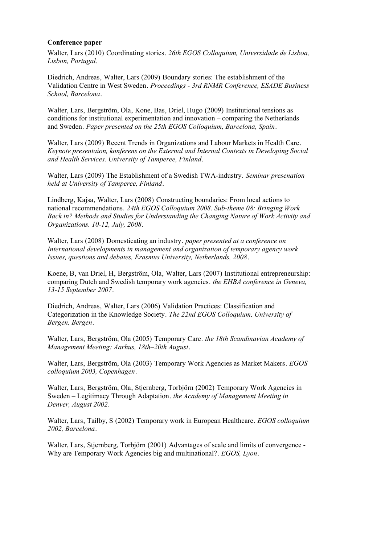#### **Conference paper**

Walter, Lars (2010) Coordinating stories. *26th EGOS Colloquium, Universidade de Lisboa, Lisbon, Portugal*.

Diedrich, Andreas, Walter, Lars (2009) Boundary stories: The establishment of the Validation Centre in West Sweden. *Proceedings - 3rd RNMR Conference, ESADE Business School, Barcelona*.

Walter, Lars, Bergström, Ola, Kone, Bas, Driel, Hugo (2009) Institutional tensions as conditions for institutional experimentation and innovation – comparing the Netherlands and Sweden. *Paper presented on the 25th EGOS Colloquium, Barcelona, Spain*.

Walter, Lars (2009) Recent Trends in Organizations and Labour Markets in Health Care. *Keynote presentaion, konferens on the External and Internal Contexts in Developing Social and Health Services. University of Tamperee, Finland*.

Walter, Lars (2009) The Establishment of a Swedish TWA-industry. *Seminar presenation held at University of Tamperee, Finland*.

Lindberg, Kajsa, Walter, Lars (2008) Constructing boundaries: From local actions to national recommendations. *24th EGOS Colloquium 2008. Sub-theme 08: Bringing Work Back in? Methods and Studies for Understanding the Changing Nature of Work Activity and Organizations. 10-12, July, 2008*.

Walter, Lars (2008) Domesticating an industry. *paper presented at a conference on International developments in management and organization of temporary agency work Issues, questions and debates, Erasmus University, Netherlands, 2008*.

Koene, B, van Driel, H, Bergström, Ola, Walter, Lars (2007) Institutional entrepreneurship: comparing Dutch and Swedish temporary work agencies. *the EHBA conference in Geneva, 13-15 September 2007*.

Diedrich, Andreas, Walter, Lars (2006) Validation Practices: Classification and Categorization in the Knowledge Society. *The 22nd EGOS Colloquium, University of Bergen, Bergen*.

Walter, Lars, Bergström, Ola (2005) Temporary Care. *the 18th Scandinavian Academy of Management Meeting: Aarhus, 18th–20th August*.

Walter, Lars, Bergström, Ola (2003) Temporary Work Agencies as Market Makers. *EGOS colloquium 2003, Copenhagen*.

Walter, Lars, Bergström, Ola, Stjernberg, Torbjörn (2002) Temporary Work Agencies in Sweden – Legitimacy Through Adaptation. *the Academy of Management Meeting in Denver, August 2002*.

Walter, Lars, Tailby, S (2002) Temporary work in European Healthcare. *EGOS colloquium 2002, Barcelona*.

Walter, Lars, Stjernberg, Torbjörn (2001) Advantages of scale and limits of convergence - Why are Temporary Work Agencies big and multinational?. *EGOS, Lyon*.